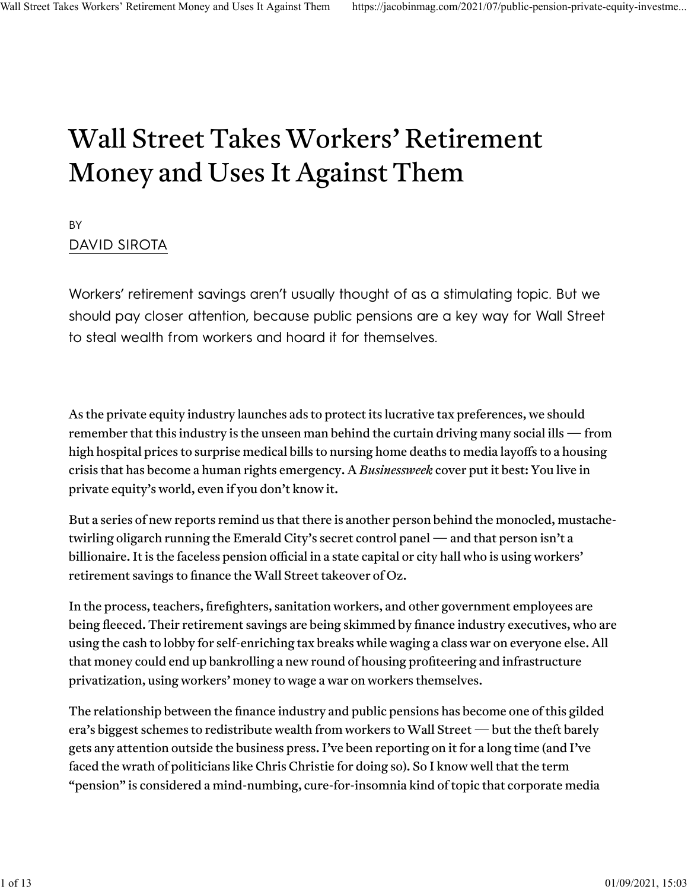## Wall Street Takes Workers' Retirement Money and Uses It Against Them

#### BY [DAVID SIROTA](https://jacobinmag.com/author/david-sirota)

Workers' retirement savings aren't usually thought of as a stimulating topic. But we should pay closer attention, because public pensions are a key way for Wall Street to steal wealth from workers and hoard it for themselves.

As the private equity industry [launches ads](https://www.bloomberg.com/news/articles/2021-06-30/private-equity-gears-up-for-last-fight-to-keep-coveted-tax-break?sref=I6K1T2KU&emci=e4ef00d6-c2d9-eb11-a7ad-501ac57b8fa7&emdi=6afca8eb-cad9-eb11-a7ad-501ac57b8fa7&ceid=7326522) to protect its lucrative tax preferences, we should remember that this industry is the unseen man behind the curtain driving many social ills — from high [hospital prices](https://www.beckershospitalreview.com/finance/private-equity-acquired-hospitals-saw-higher-margins-study-finds.html) to [surprise medical bills](https://www.bloomberg.com/news/articles/2020-01-08/blackstone-kkr-hidden-hand-in-ad-blitz-unleashes-washington-fury) to [nursing home deaths](https://jacobinmag.com/2021/02/nursing-homes-private-equity-deaths-covid-cuomo) to [media layo](https://prospect.org/blogs/tap/private-equity-swallows-up-yet-another-newspaper-group/)ffs to a housing crisis that has become a [human rights emergency.](https://www.theguardian.com/us-news/2019/mar/26/blackstone-group-accused-global-housing-crisis-un) A *[Businessweek](https://www.bloomberg.com/news/features/2019-10-03/how-private-equity-works-and-took-over-everything)* [cover](https://www.bloomberg.com/news/features/2019-10-03/how-private-equity-works-and-took-over-everything) put it best: [You live in](https://www.facebook.com/bloombergbusinessweek/photos/new-cover-you-live-in-private-equitys-world-and-you-need-to-know-a-few-things-we/1802979736513872/) [private equity's world,](https://www.facebook.com/bloombergbusinessweek/photos/new-cover-you-live-in-private-equitys-world-and-you-need-to-know-a-few-things-we/1802979736513872/) even if you don't know it.

But a series of new reports remind us that there is another person behind the monocled, mustachetwirling oligarch running the Emerald City's secret control panel — and that person isn't a billionaire. It is the faceless pension official in a state capital or city hall who is using workers' retirement savings to finance the Wall Street takeover of Oz.

In the process, teachers, firefighters, sanitation workers, and other government employees are being fleeced. Their retirement savings are being skimmed by finance industry executives, who are using the cash to lobby for self-enriching tax breaks while waging a class war on everyone else. All that money could end up bankrolling a new round of housing profiteering and infrastructure privatization, using workers' money to wage a war on workers themselves.

The relationship between the finance industry and public pensions has become one of this gilded era's biggest schemes to redistribute wealth from workers to Wall Street — but the theft barely gets any attention outside the business press. I've been reporting on it for a long time (and I've [faced the wrath of politicians like Chris Christie](https://www.phillymag.com/city/2014/09/19/chris-christie-writer-hes-journalist-hes-hack/) for doing so). So I know well that the term "pension" is considered a mind-numbing, cure-for-insomnia kind of topic that corporate media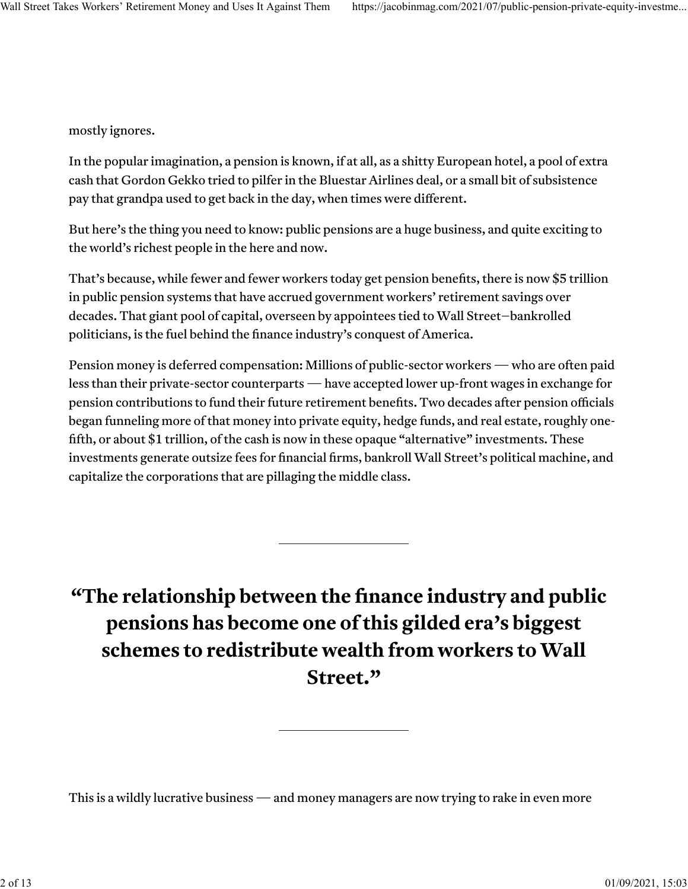mostly ignores.

In the popular imagination, a pension is known, if at all, as a shitty European hotel, a pool of extra cash that [Gordon Gekko tried to pilfer](https://www.nytimes.com/2015/07/31/business/dealbook/how-to-tax-gordon-gekko.html) in the Bluestar Airlines deal, or a small bit of subsistence pay that grandpa used to get back in the day, when times were different.

But here's the thing you need to know: public pensions are a huge business, and quite exciting to the world's richest people in the here and now.

That's because, while fewer and [fewer](https://money.cnn.com/retirement/guide/pensions_basics.moneymag/index7.htm) workers today get pension benefits, there is now [\\$5 trillion](https://www.nasra.org/content.asp?admin=Y&contentid=200) [in public pension](https://www.nasra.org/content.asp?admin=Y&contentid=200) systems that have accrued government workers' retirement savings over decades. That giant pool of capital, overseen by appointees tied to Wall Street–bankrolled politicians, is the fuel behind the finance industry's conquest of America.

Pension money is deferred compensation: Millions of public-sector workers — who are [often](https://www.cbpp.org/research/some-basic-facts-on-state-and-local-government-workers) [paid](https://www.epi.org/press/teachers-are-paid-almost-20-less-than-similar-workers-when-including-benefits-teachers-still-face-a-10-2-total-compensation-penalty/) [less](https://crr.bc.edu/briefs/comparing-compensation-state-local-versus-private-sector-workers/) [than](https://www.govexec.com/pay-benefits/2020/05/federal-advisory-group-finds-feds-are-paid-2671-less-private-sector-counterparts/165544/) [their private-sector counterparts](https://www.epi.org/publication/public-sector-workers-are-paid-less-than-their-private-sector-counterparts-and-its-much-worse-in-right-to-work-states/) — have accepted lower up-front wages in exchange for pension contributions to fund their future retirement benefits. Two decades after pension officials [began](https://www.pewtrusts.org/~/media/assets/2014/06/state_public_pension_investments_shift_over_past_30_years.pdf) funneling more of that money into private equity, hedge funds, and real estate, roughly onefifth, or about [\\$1 trillion,](https://www.nasra.org/content.asp?admin=Y&contentid=200) of the cash is now in these opaque "alternative" investments. These investments generate outsize fees for financial firms, bankroll Wall Street's political machine, and capitalize the corporations that are pillaging the middle class.

**"The relationship between the finance industry and public pensions has become one of this gilded era's biggest schemes to redistribute wealth from workers to Wall Street."**

This is a wildly lucrative business — and money managers are now trying to rake in even more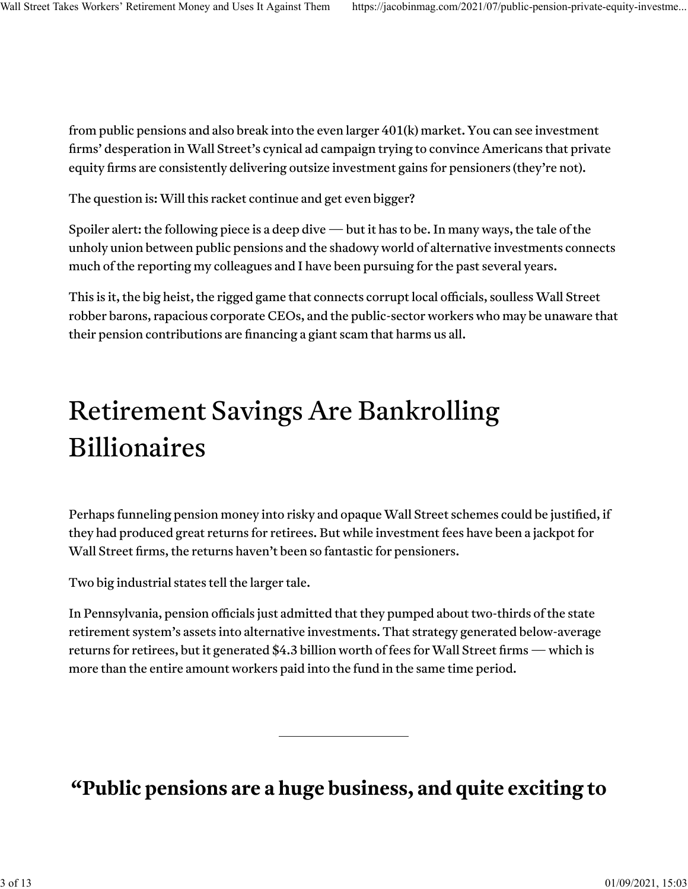from public pensions and also [break into the even larger 401\(k\) market.](https://www.jacobinmag.com/2020/07/labor-secretary-eugene-scalia-private-profits) You can see investment firms' desperation in Wall Street's [cynical ad campaign](https://www.youtube.com/watch?v=WWEr333MjEs) trying to convince Americans that private equity firms are consistently delivering outsize investment gains for pensioners [\(they're](https://www.ft.com/content/e73396be-54a4-11ea-8841-482eed0038b1) [not\)](https://reason.org/commentary/private-equity-returns-stumbled-in-2020-hurting-public-pension-plans/).

The question is: Will this racket continue and get even bigger?

Spoiler alert: the following piece is a deep dive — but it has to be. In many ways, the tale of the unholy union between public pensions and the shadowy world of alternative investments connects much of the reporting my colleagues and I have been pursuing for the past several years.

This is it, the big heist, the rigged game that connects corrupt local officials, soulless Wall Street robber barons, rapacious corporate CEOs, and the public-sector workers who may be unaware that their pension contributions are financing a giant scam that harms us all.

## Retirement Savings Are Bankrolling Billionaires

Perhaps funneling pension money into risky and opaque Wall Street schemes could be justified, if they had produced great returns for retirees. But while investment fees have been a jackpot for Wall Street firms, the returns haven't been so fantastic for pensioners.

Two big industrial states tell the larger tale.

In Pennsylvania, pension officials just admitted that they pumped about [two-thirds](https://www.bloomberg.com/news/articles/2021-06-10/group-of-pennsylvania-pension-trustees-seeks-ouster-of-leaders) of the state retirement system's assets into alternative investments. That strategy generated [below-average](https://www.patreasury.gov/pdf/newsroom/SantaMaria-Letter-61021.pdf) returns for retirees, but it generated [\\$4.3 billion worth of fees](https://www.patreasury.gov/pdf/newsroom/SantaMaria-Letter-61021.pdf) for Wall Street firms — which is more than the entire amount workers paid into the fund in the same time period.

**"Public pensions are a huge business, and quite exciting to**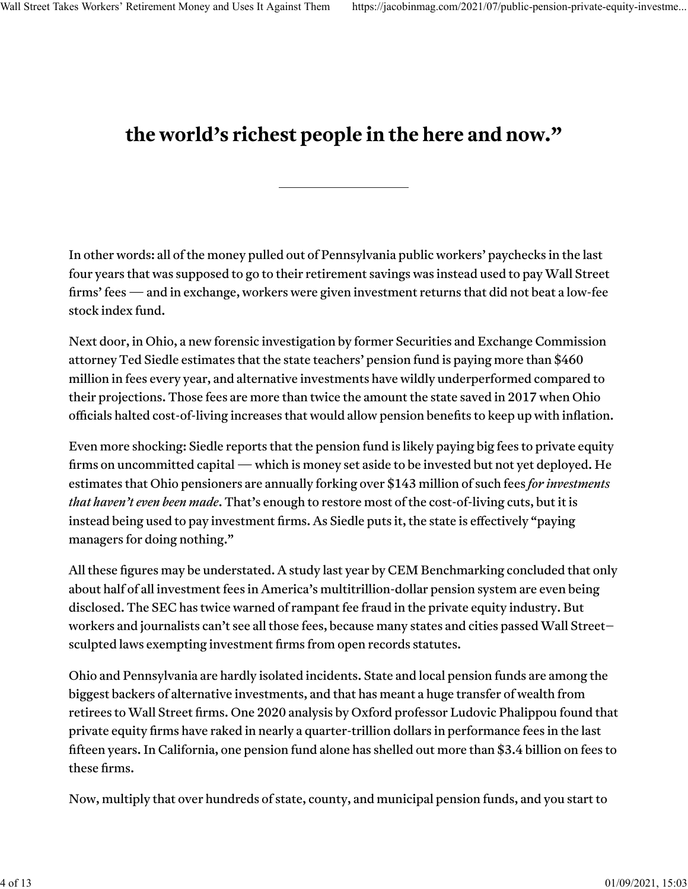#### **the world's richest people in the here and now."**

In other words: all of the money pulled out of Pennsylvania public workers' paychecks in the last four years that was supposed to go to their retirement savings was instead used to pay Wall Street firms' fees — and in exchange, workers were given investment returns that did not beat a [low-fee](https://investor.vanguard.com/mutual-funds/profile/performance/vbiax) [stock index fund.](https://investor.vanguard.com/mutual-funds/profile/performance/vbiax)

Next door, in Ohio, a new [forensic investigation](https://82781d1e-9774-4c42-8beb-47ead2a438eb.filesusr.com/ugd/ed1884_cb39f322009c4c8aa4189e45f15402e7.pdf) by former Securities and Exchange Commission attorney Ted Siedle estimates that the state teachers' pension fund is paying more than \$460 million in fees every year, and alternative investments have wildly underperformed compared to their projections. Those fees are more than twice the amount the state saved in 2017 when Ohio officials halted cost-of-living increases that would allow pension benefits to keep up with inflation.

Even more shocking: Siedle reports that the pension fund is likely paying big fees to private equity firms on uncommitted capital — which is money set aside to be invested but not yet deployed. He estimates that Ohio pensioners are annually forking over \$143 million of such fees *for investments that haven't even been made*. That's enough to restore most of the cost-of-living cuts, but it is instead being used to pay investment firms. As Siedle puts it, the state is effectively "paying managers for doing nothing."

All these figures may be understated. A [study](https://www.top1000funds.com/2020/11/asset-owners-report-half-of-all-costs/) last year by CEM Benchmarking concluded that only about half of all investment fees in America's multitrillion-dollar pension system are even being disclosed. The SEC has [twice](https://jacobinmag.com/2020/06/jay-clayton-sec-securities-exchange-commission-trump) [warned](https://www.sec.gov/news/speech/2014--spch05062014ab.html) of rampant fee fraud in the private equity industry. But workers and journalists can't see all those fees, because many states and cities passed [Wall Street–](https://www.oregonlive.com/opinion/2014/12/secret_public_pension_investme.html) [sculpted laws](https://www.oregonlive.com/opinion/2014/12/secret_public_pension_investme.html) exempting investment firms from open records statutes.

Ohio and Pennsylvania are hardly isolated incidents. State and local pension funds are among the biggest backers of alternative investments, and that has meant a huge transfer of wealth from retirees to Wall Street firms. One 2020 [analysis](https://www.ft.com/content/803cff77-42f7-4859-aff1-afa5c149023c) by Oxford professor Ludovic Phalippou found that private equity firms have raked in nearly a quarter-trillion dollars in performance fees in the last fifteen years. In California, one pension fund alone has shelled out more than [\\$3.4 billion on fees](https://www.wsj.com/articles/calpers-discloses-performance-fees-paid-to-private-equity-managers-1448386229) to these firms.

Now, multiply that over hundreds of state, county, and municipal pension funds, and you start to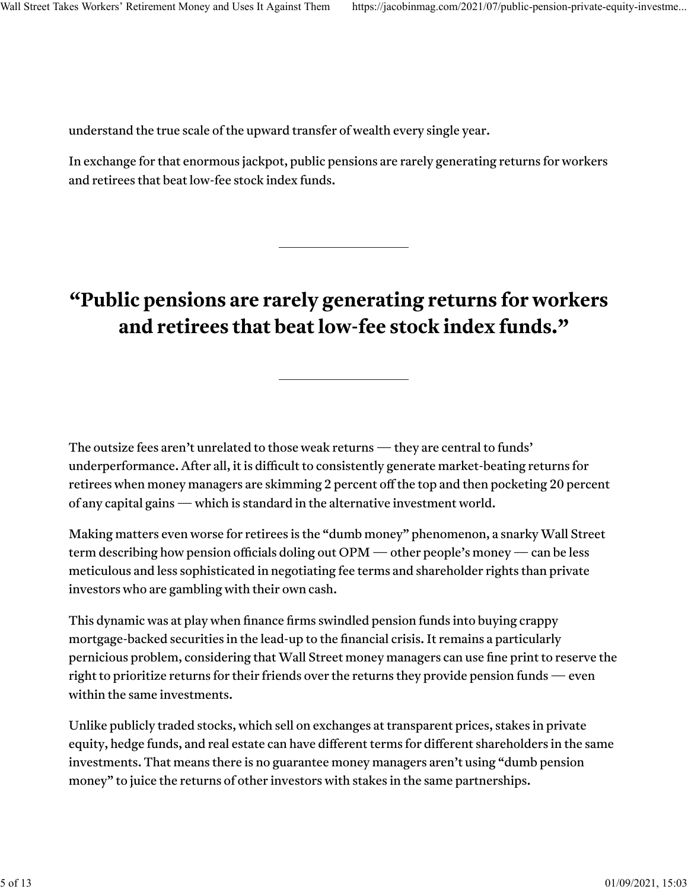understand the true scale of the upward transfer of wealth every single year.

In exchange for that enormous jackpot, public pensions are [rarely generating returns](https://poseidon01.ssrn.com/delivery.php?ID=765078021102095121103016096069126096056012093049062087109127094007119070065092107088011062005012058022097120091075089114071080009058062048011003070072111110067083124006006018024030007019117007101001002093064096103072000112099119064068089121072094097084&EXT=pdf&INDEX=TRUE) for workers and retirees that beat low-fee stock index funds.

#### **"Public pensions are rarely generating returns for workers and retirees that beat low-fee stock index funds."**

The outsize fees aren't unrelated to those weak returns — they are central to funds' underperformance. After all, it is difficult to consistently generate market-beating returns for retirees when money managers are skimming 2 percent off the top and then pocketing 20 percent of any capital gains — which is standard in the alternative investment world.

Making matters even worse for retirees is the ["dumb money"](https://www.buyoutsinsider.com/show-me-the-dumb-money/) phenomenon, a snarky Wall Street term describing how pension officials doling out OPM — other people's money — can be less meticulous and less sophisticated in negotiating fee terms and shareholder rights than private investors who are gambling with their own cash.

This dynamic was at play when finance firms [swindled](https://www.thinkadvisor.com/2019/04/26/morgan-stanley-settles-with-california-pension-funds-over-mbs-sales/) [pension funds](https://www.reuters.com/article/us-jpmorgan-bearstearns-settlement/bear-stearns-in-275-million-shareholder-settlement-idUSBRE85616M20120607) into buying crappy mortgage-backed securities in the lead-up to the financial crisis. It remains a particularly pernicious problem, considering that Wall Street money managers can use fine print to [reserve the](https://www.ibtimes.com/wall-street-fine-print-retirees-want-fbi-probe-pension-investment-deals-2250476) [right](https://www.ibtimes.com/wall-street-fine-print-retirees-want-fbi-probe-pension-investment-deals-2250476) to prioritize returns for their friends over the returns they provide pension funds  $-$  even within the same investments.

Unlike publicly traded stocks, which sell on exchanges at transparent prices, stakes in private equity, hedge funds, and real estate can have different terms for different shareholders in the same investments. That means there is no guarantee money managers aren't using "dumb pension money" to juice the returns of other investors with stakes in the same partnerships.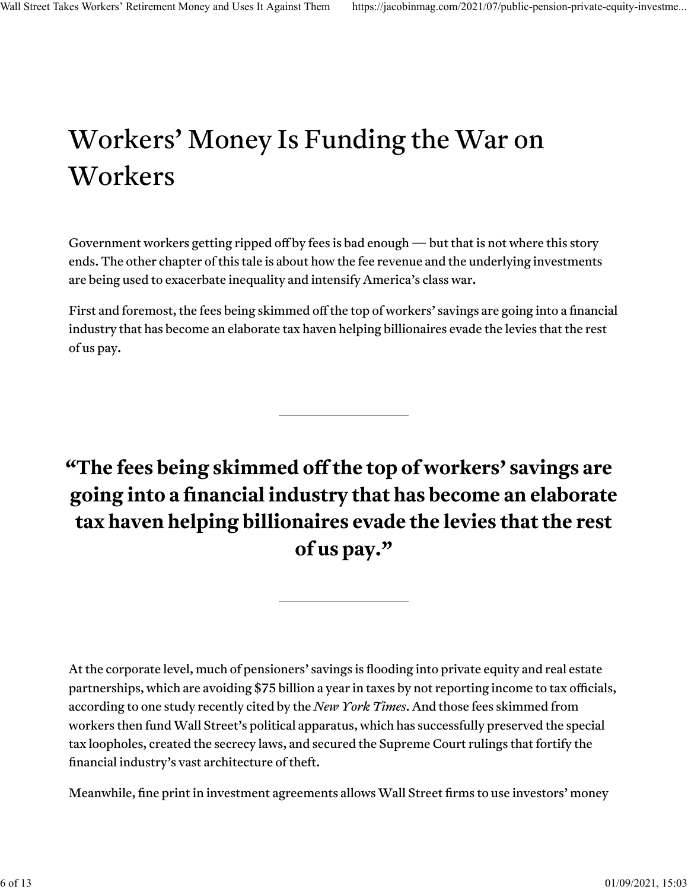# Workers' Money Is Funding the War on Workers

Government workers getting ripped off by fees is bad enough — but that is not where this story ends. The other chapter of this tale is about how the fee revenue and the underlying investments are being used to exacerbate inequality and intensify America's class war.

First and foremost, the fees being skimmed off the top of workers' savings are going into a financial industry that has become an elaborate tax haven helping billionaires evade the levies that the rest of us pay.

**"The fees being skimmed o� the top of workers' savings are going into a financial industry that has become an elaborate tax haven helping billionaires evade the levies that the rest of us pay."**

At the corporate level, much of pensioners' savings is flooding into private equity and real estate partnerships, which are avoiding \$75 billion a year in taxes by not reporting income to tax officials, according to one study recently [cited by the](https://www.nytimes.com/2021/06/12/business/private-equity-taxes.html) *[New York Times](https://www.nytimes.com/2021/06/12/business/private-equity-taxes.html)*. And those fees skimmed from workers then fund Wall Street's political apparatus, which has successfully [preserved the special](https://www.nytimes.com/2017/12/22/business/trump-carried-interest-lobbyists.html) [tax loopholes,](https://www.nytimes.com/2017/12/22/business/trump-carried-interest-lobbyists.html) created the [secrecy laws,](https://www.oregonlive.com/opinion/2014/12/secret_public_pension_investme.html) and secured [the Supreme Court rulings](https://jacobinmag.com/2020/06/supreme-court-pensions-thole-mayberry-kavanaugh) that fortify the financial industry's vast architecture of theft.

Meanwhile, fi[ne print](https://www.nakedcapitalism.com/2015/07/how-pension-funds-universities-and-endowments-pay-for-private-equity-private-jets.html) in investment agreements allows Wall Street firms to use investors' money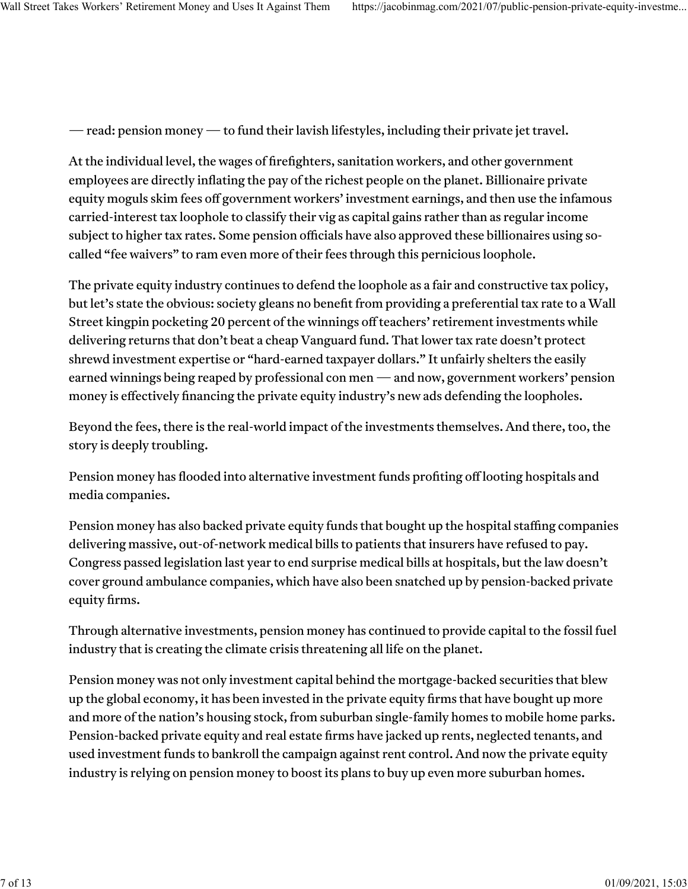— read: pension money — to fund their lavish lifestyles, including their [private jet travel.](https://www.wsj.com/articles/travel-expenses-enter-lps-radar-screens-1467727136)

At the individual level, the wages of firefighters, sanitation workers, and other government employees are directly inflating the pay of the richest people on the planet. Billionaire private equity moguls skim fees off government workers' investment earnings, and then use the infamous carried-interest tax loophole to classify their [vig](https://www.youtube.com/watch?v=DIW5wYIZtHY) as capital gains rather than as regular income subject to higher tax rates. Some pension officials have also [approved](https://www.reuters.com/article/us-california-calpers-waiver-analysis/majority-of-calpers-private-equity-investments-contain-tax-deal-idUSKCN0T81JR20151119) these billionaires using socalled "fee waivers" to ram even more of their fees through this pernicious loophole.

The private equity industry continues to [defend](https://www.investmentcouncil.org/carried-interest-statement-16198-2/) the loophole as a fair and constructive tax policy, but let's state the obvious: society gleans no benefit from providing a preferential tax rate to a Wall Street kingpin pocketing 20 percent of the winnings off teachers' retirement investments while delivering returns that don't beat a cheap Vanguard fund. That lower tax rate doesn't protect shrewd investment expertise or "hard-earned taxpayer dollars." It unfairly shelters the easily earned winnings being reaped by professional con men — and now, government workers' pension money is effectively financing the [private equity industry's new ads](https://fortune.com/2021/06/30/private-equity-lobbying-tax-break-carried-interest/) defending the loopholes.

Beyond the fees, there is the real-world impact of the investments themselves. And there, too, the story is deeply troubling.

Pension money has flooded into alternative investment funds profi[ting o](https://www.pionline.com/pension-funds/rhode-island-employees-avoid-future-leonard-green-commitments)ff [looting hospitals](https://pestakeholder.org/investors-seek-accountability-for-leonard-green-partners-looting-of-safety-net-hospitals/) and [media companies.](https://dfmworkers.org/who-profits-from-alden-global-capital-youd-be-surprised/)

Pension money has also backed private equity funds that bought up the hospital staffing companies delivering massive, out-of-network medical bills to patients that insurers have refused to pay. Congress passed legislation last year to end surprise medical bills at hospitals, but the law [doesn't](https://uspirg.org/blogs/blog/usp/ground-ambulances-one-surprise-bill-not-covered-%E2%80%98no-surprises-act%E2%80%99) [cover](https://uspirg.org/blogs/blog/usp/ground-ambulances-one-surprise-bill-not-covered-%E2%80%98no-surprises-act%E2%80%99) [ground ambulance companies,](https://healthpayerintelligence.com/news/51-emergency-ground-ambulance-rides-result-in-surprise-billing) which have also been snatched up by [pension-backed private](https://www.bloomberg.com/news/articles/2018-07-03/how-private-equity-keeps-states-invested-in-medical-billing-practices-they-ve-banned) [equity](https://www.bloomberg.com/news/articles/2018-07-03/how-private-equity-keeps-states-invested-in-medical-billing-practices-they-ve-banned) firms.

Through alternative investments, pension money ha[s continued](https://www.reuters.com/business/energy/exclusive-private-equity-bet-troubled-caribbean-refinery-blows-up-retirement-2021-06-03/) to provide capital to the fossil fuel industry that is creating the climate crisis threatening all life on the planet.

Pension money was not onl[y investment capital](https://www.bloomberg.com/news/articles/2007-06-01/banks-sell-toxic-waste-cdos-to-calpers-texas-teachers-fund) behind th[e mortgage-backed securities](https://www.ipe.com/toxic-waste-in-pension-funds/25155.article) that blew up the global economy, it has been invested in the private equity firms that hav[e bought up](https://www.wsj.com/articles/if-you-sell-a-house-these-days-the-buyer-might-be-a-pension-fund-11617544801) more and more of th[e nation's housing stock,](https://www.wsj.com/articles/blackstone-bets-6-billion-on-buying-and-renting-homes-11624359600) from suburban single-family homes to [mobile home parks.](https://www.theguardian.com/culture/2019/apr/08/john-oliver-rips-private-equity-mobile-home-parks) Pension-backed private equity and real estate firms have [jacked up rents,](https://www.calculatedriskblog.com/2021/05/lawler-single-family-rent-trends.html) [neglected tenants,](https://www.reuters.com/investigates/special-report/usa-housing-invitation/) and used investment funds t[o bankroll the campaign against rent control.](https://www.theguardian.com/us-news/2018/oct/23/california-public-employees-unwittingly-fund-rent-control-fight) And now the private equity industry is [relying on](https://pe-insights.com/news/2021/03/11/carlyle-plans-6bn-capital-raise-for-ninth-us-real-estate-fund/) pension money to boost its [plans](https://www.pionline.com/real-estate/blackstone-bets-6-billion-suburban-home-rentals) to buy up even more suburban homes.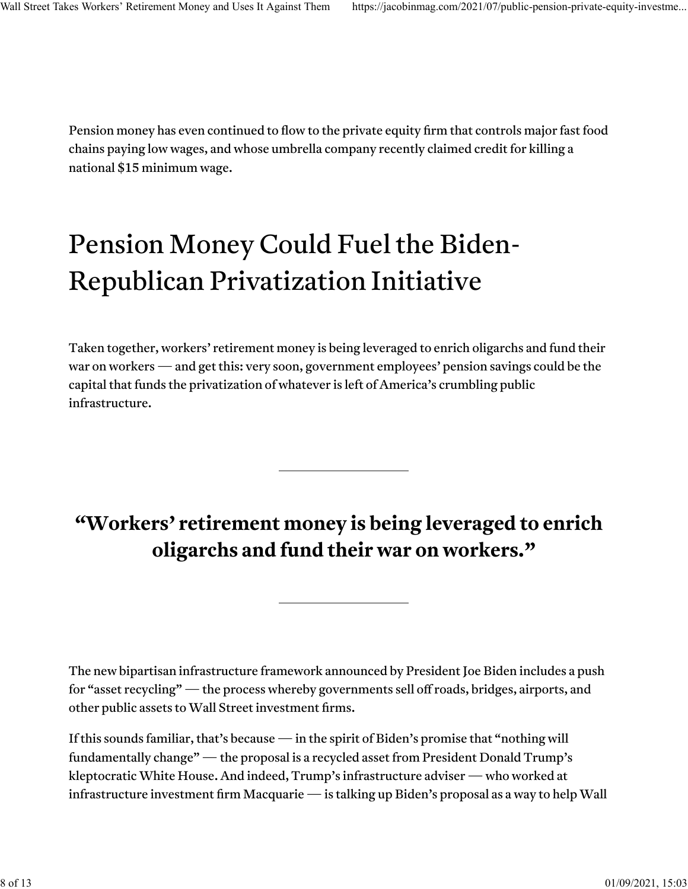Pension money has even continued to fl[ow](https://www.buyoutsinsider.com/lacers-commits-to-roark-fund-despite-board-member-concerns/) [to](https://www.privateequityinternational.com/trsl-confirms-50m-commitment/) [the private equity](https://www.pionline.com/article/20180302/ONLINE/180309943/tennessee-consolidated-commits-820-million-for-7-managers) firm tha[t controls major fast food](https://pestakeholder.org/largest-private-equity-owned-employers-concentrated-in-low-wage-industries/) [chains](https://pestakeholder.org/largest-private-equity-owned-employers-concentrated-in-low-wage-industries/) paying low wages, and whose umbrella company recentl[y claimed credit](https://jacobinmag.com/2021/03/fast-food-chains-block-15-minimum-wage-relief-dunkin-arbys-sonic) for killing a national \$15 minimum wage.

# Pension Money Could Fuel the Biden-Republican Privatization Initiative

Taken together, workers' retirement money is being leveraged to enrich oligarchs and fund their war on workers — and get this: very soon, government employees' pension savings could be the capital that funds the privatization of whatever is left of America's crumbling public infrastructure.

## **"Workers' retirement money is being leveraged to enrich oligarchs and fund their war on workers."**

The new [bipartisan infrastructure framework](https://www.whitehouse.gov/briefing-room/statements-releases/2021/06/24/fact-sheet-president-biden-announces-support-for-the-bipartisan-infrastructure-framework/) announced by President Joe Biden includes a push fo[r "asset recycling"](https://www.bloomberg.com/news/articles/2021-06-24/wall-street-sees-big-wish-granted-in-biden-s-infrastructure-deal) — the process whereby governments sell off roads, bridges, airports, and other public assets to Wall Street investment firms.

If this sounds familiar, that's because — in the spirit of Biden's [promise](https://www.salon.com/2019/06/19/joe-biden-to-rich-donors-nothing-would-fundamentally-change-if-hes-elected/) that "nothing will fundamentally change" — the proposal is a recycled asset from [President Donald Trump's](https://prospect.org/politics/bipartisan-senate-infrastructure-plan-privatization-asset-recycling/) kleptocratic White House. And indeed, Trump's [infrastructure adviser](https://www.brookings.edu/wp-content/uploads/2019/02/DJ-Gribbin_Nonresident-Senior-Fellow_Press-Release.pdf) — who worked at [infrastructure investment](https://search.yahoo.com/search?p=Gribbin+Macquarie+&fr=yfp-t&ei=UTF-8&fp=1) firm Macquarie — is [talking up](https://www.bloomberg.com/news/articles/2021-06-24/wall-street-sees-big-wish-granted-in-biden-s-infrastructure-deal) Biden's proposal as a way to help Wall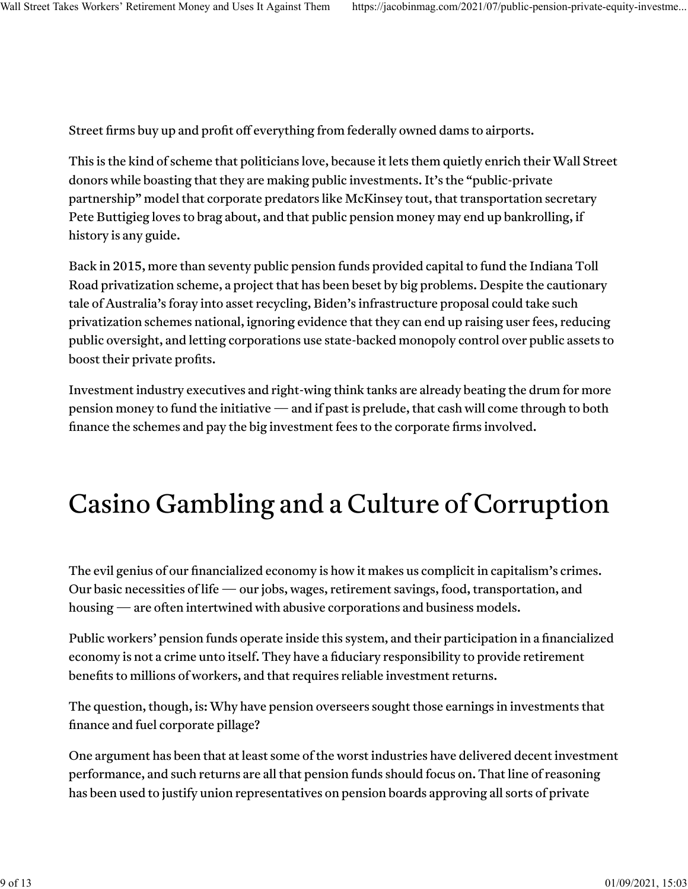Street firms buy up and profit off everything from federally owned dams to airports.

This is the kind of scheme that politicians love, because it lets them quietly enrich their Wall Street donors while boasting that they are making public investments. It's the "public-private partnership" model that corporate predators like McKinsey [tout,](https://www.mckinsey.com/industries/private-equity-and-principal-investors/our-insights/the-rising-advantage-of-public-private-partnerships) that transportation secretary Pete Buttigieg loves to [brag about,](https://www.ibj.com/articles/buttigieg-aims-for-generational-change-at-department-of-transportation) and that public pension money may end up bankrolling, if history is any guide.

Back in 2015, more tha[n seventy public pension funds](https://www.businesswire.com/news/home/20150527006535/en/IFM-Investors-completes-%20acquisition-Indiana-Toll-Road%20Accessed%209%20Feb.%202018.) provide[d capital](https://www.cnbc.com/2016/05/13/why-calpers-is-betting-on-an-indiana-toll-road.html) to fund the Indiana Toll Road privatization scheme, a project that has bee[n beset by big problems.](https://www.ibtimes.com/political-capital/if-pence-shapes-trumps-infrastructure-plan-who-would-profit-who-would-pay-2568586) Despite the [cautionary](https://www.inthepublicinterest.org/research-brief-the-australian-model-of-asset-recycling/) [tale](https://www.inthepublicinterest.org/research-brief-the-australian-model-of-asset-recycling/) of Australia's foray into asset recycling, Biden's infrastructure proposal could take such privatization schemes national, ignoring evidence that they can end u[p raising user fees,](https://prospect.org/politics/bipartisan-senate-infrastructure-plan-privatization-asset-recycling/) reducing public oversight, and letting corporations use state-backed monopoly control over public assets to boost their private profits.

[Investment industry executives](https://www.pionline.com/industry-voices/commentary-pension-funds-can-launch-new-infrastructure-era) and [right-wing](https://www.wsj.com/articles/build-infrastructure-with-private-cash-11617229279) [think tanks](https://reason.org/commentary/new-research-shows-opportunities-and-perils-of-pension-funds-investing-in-infrastructure/) are already beating the drum for more pension money to fund the initiative — and if past is prelude, that cash will come through to both finance the schemes and pay the big investment fees to the corporate firms involved.

## Casino Gambling and a Culture of Corruption

The evil genius of our financialized economy is how it makes us complicit in capitalism's crimes. Our basic necessities of life — our jobs, wages, retirement savings, food, transportation, and housing — are often intertwined with abusive corporations and business models.

Public workers' pension funds operate inside this system, and their participation in a financialized economy is not a crime unto itself. They have a fiduciary responsibility to provide retirement benefits to millions of workers, and that requires reliable investment returns.

The question, though, is: Why have pension overseers sought those earnings in investments that finance and fuel corporate pillage?

One argument has been that at least some of the worst industries have delivered decent investment performance, and such returns are all that pension funds should focus on. That line of reasoning has been used to justify union representatives on pension boards approving all sorts of private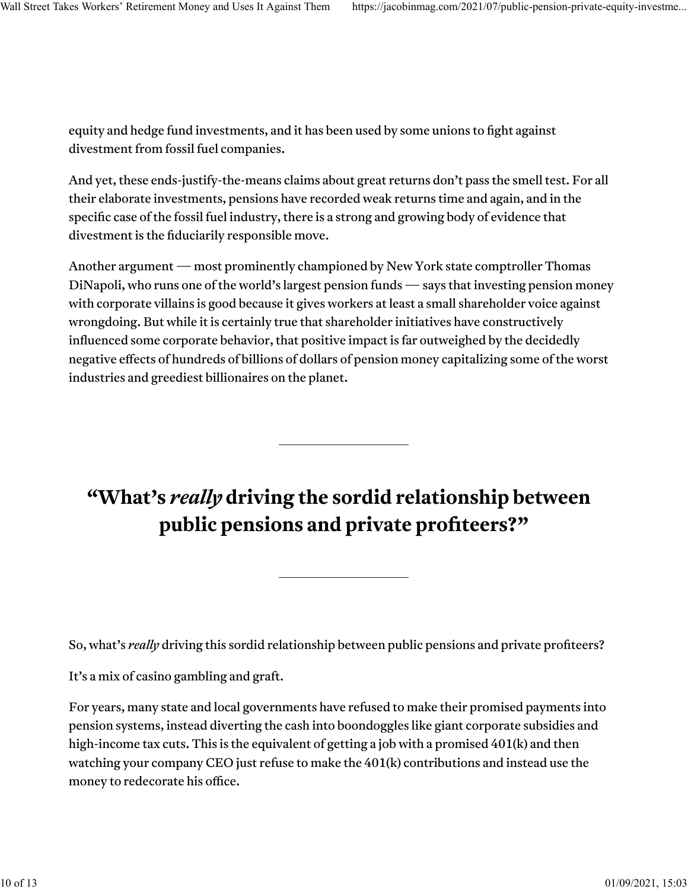equity and hedge fund investments, and it has been used by [some unions](https://www.cityandstateny.com/articles/policy/energy-environment/debate-over-fossil-fuel-divestment-fires-organized-labor.html) to fi[ght](https://nypost.com/2019/04/30/unions-oppose-move-to-make-state-dump-fossil-fuel-investments-from-pension-fund/) against divestment from fossil fuel companies.

And yet, these ends-justify-the-means claims about great returns don't pass the smell test. For all their elaborate investments, pensions have recorded weak returns time and again, and in the specific case of the fossil fuel industry, there is a strong and growing body of [evidence](http://ieefa.org/wp-content/uploads/2018/07/Divestment-from-Fossil-Fuels_The-Financial-Case_July-2018.pdf) that divestment is the fiduciarily responsible move.

Another argument — most prominently [championed](https://www.pressrepublican.com/news/local_news/dinapoli-divestment-not-the-answer-to-cleaner-energy/article_7fa30d39-dff0-524b-8348-6473a9602431.html) [by](https://www.wnyc.org/story/ny-pension-chief-cashes-natural-gas/) New York state comptroller Thomas DiNapoli, who runs one of the world's largest pension funds — says that investing pension money with corporate villains is good because it gives workers at least a small shareholder voice against wrongdoing. But while it is certainly true that shareholder initiatives have constructively infl[uenced](https://www.dailyposter.com/shareholders-strike-back/) some corporate behavior, that positive impact is far outweighed by the decidedly negative effects of hundreds of billions of dollars of pension money capitalizing some of the worst industries and greediest billionaires on the planet.

## **"What's** *really* **driving the sordid relationship between public pensions and private profiteers?"**

So, what's *really* driving this sordid relationship between public pensions and private profiteers?

It's a mix of casino gambling and graft.

For years, many state and local governments [have](https://www.wsj.com/articles/SB10001424052702304830104575172262909794220) [refused](https://www.bloomberg.com/news/articles/2020-07-31/states-pull-back-on-pension-payments-as-virus-ravages-revenue) [to make](https://www.njspotlight.com/2021/03/public-worker-pension-system-full-payment-gov-murphy-first-underfunding-fiscal-2022-25-years/) their promised payments into pension systems, instead diverting the cash into boondoggles like [giant corporate subsidies](https://www.goodjobsfirst.org/hide/putting-pension-costs-context-how-corporate-tax-breaks-are-diverting-state-revenue-needed-0) and [high-income tax cuts.](https://www.cbpp.org/research/state-budget-and-tax/cutting-state-income-taxes-counterproductive-to-prosperity-racial) This is the equivalent of getting a job with a promised 401(k) and then watching your company CEO just refuse to make the 401(k) contributions and instead use the money to [redecorate his o](https://www.cnbc.com/id/28793892)ffice.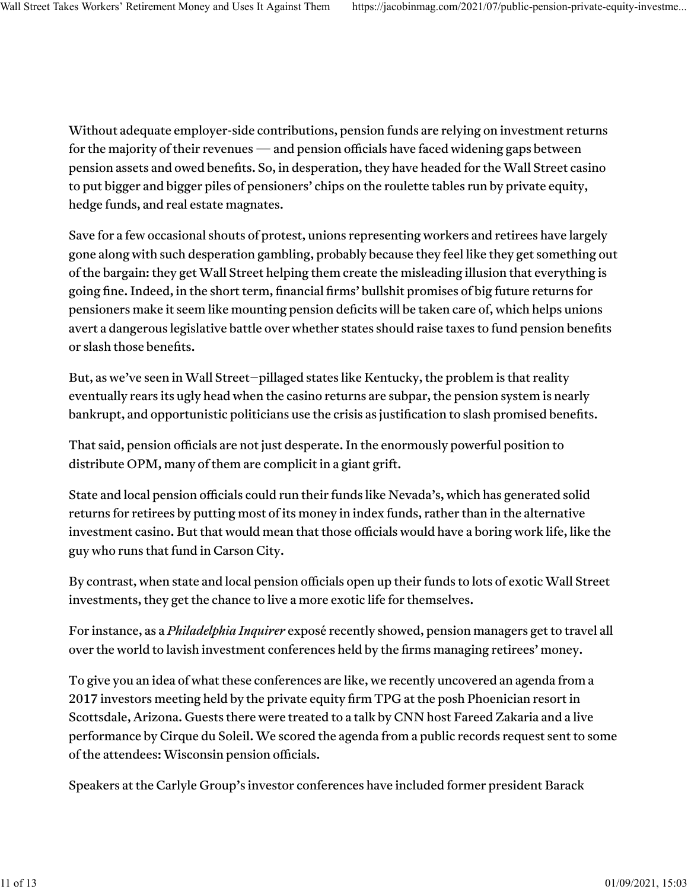Without adequate employer-side contributions, pension funds are relying on investment returns for the [majority of their revenues](https://twitter.com/ncpers/status/1409884315324985347?s=21) — and pension officials have faced widening gaps between pension assets and owed benefits. So, in desperation, they have headed for the Wall Street casino to put [bigger and bigger piles of pensioners' chips](https://www.pewtrusts.org/en/research-and-analysis/reports/2017/04/state-public-pension-funds-increase-use-of-complex-investments) on the roulette tables run by private equity, hedge funds, and real estate magnates.

Save for a few [occasional shouts of protest,](https://www.aft.org/press-release/aft-sounds-alarm-over-private-equity-urges-trustees-3-trillion-under) unions representing workers and retirees have largely gone along with such desperation gambling, probably because they feel like they get something out of the bargain: they get Wall Street helping them create the misleading illusion that everything is going fine. Indeed, in the short term, financial firms' bullshit promises of big future returns for pensioners make it seem like mounting pension deficits will be taken care of, which helps unions avert a dangerous legislative battle over whether states should raise taxes to fund pension benefits or slash those benefits.

But, as we've seen in [Wall Street–pillaged](https://apnews.com/article/b77d7d5f42564728beae9e2e27019b52) states like [Kentucky,](https://www.courier-journal.com/story/news/politics/2018/12/17/kentucky-pension-crisis-reasons-how-we-got-here/2317233002/) the problem is that reality eventually rears its ugly head when the casino [returns are subpar,](https://www.kentucky.com/news/politics-government/article245106980.html) the pension system is nearly bankrupt, and opportunistic politicians use the crisis as justifi[cation to slash promised bene](https://www.kentucky.com/news/politics-government/article208518614.html)fits.

That said, pension officials are not just desperate. In the enormously powerful position to distribute OPM, many of them are complicit in a giant grift.

State and local pension officials could run their funds like Nevada's, which has generated [solid](https://www.pionline.com/pension-funds/nevada-pers-outperforms-benchmark-85-yearly-return) [returns](https://www.pionline.com/pension-funds/nevada-pers-outperforms-benchmark-85-yearly-return) for retirees by putting most of its money in [index funds,](https://www.marketwatch.com/story/how-one-man-in-nevada-is-trouncing-the-harvard-endowment-2016-10-28) rather than in the alternative investment casino. But that would mean that those officials would have a [boring work life,](https://www.wsj.com/articles/what-does-nevadas-35-billion-fund-manager-do-all-day-nothing-1476887420) like the guy who runs that fund in Carson City.

By contrast, when state and local pension officials open up their funds to lots of exotic Wall Street investments, they get the chance to live a more exotic life for themselves.

For instance, as a *[Philadelphia Inquirer](https://www.inquirer.com/business/psers-pension-teachers-travel-expenses-sers-public-school-trips-cost-20210403.html)* exposé recently showed, pension managers get to travel all over the world to lavish investment conferences held by the firms managing retirees' money.

To give you an idea of what these conferences are like, we recently uncovered an agenda from a 2017 investors meeting held by the private equity firm TPG at the posh Phoenician resort in Scottsdale, Arizona. Guests there were treated to a talk by CNN host Fareed Zakaria and a live performance by Cirque du Soleil. We scored the agenda from a public records request sent to some of the attendees: Wisconsin pension officials.

Speakers at the Carlyle Group's investor conferences [have included](https://jacobinmag.com/2020/11/tucker-carlson-speaking-fees-private-equity) former president Barack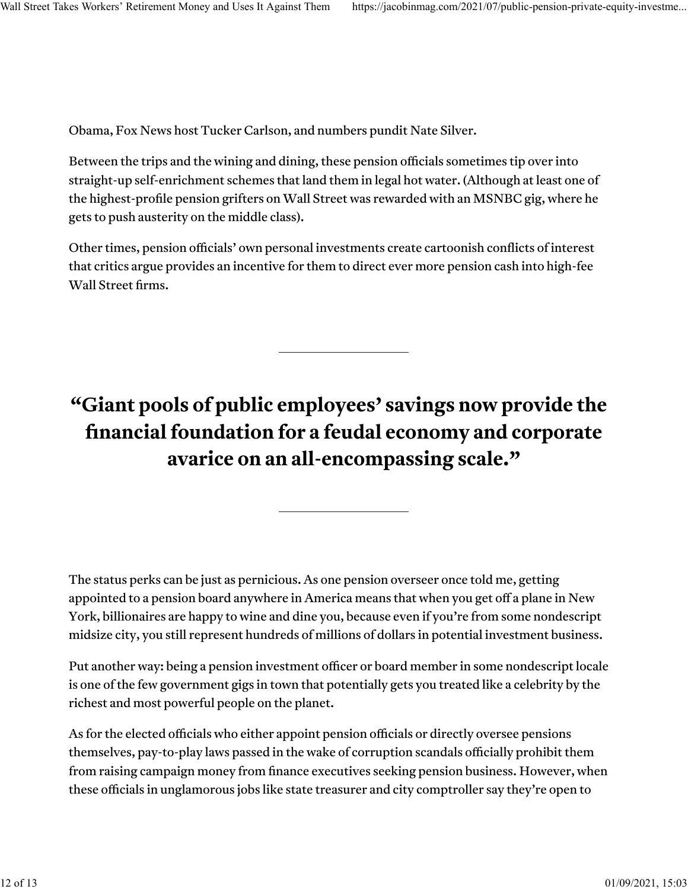Obama, Fox News host Tucker Carlson, and numbers pundit Nate Silver.

Between the trips and the wining and dining, these pension officials sometimes tip over [into](https://www.sfgate.com/business/bottomline/article/Former-CalPERS-CEO-Fred-Buenrostro-pleads-guilty-5616331.php) [straight-up](https://www.detroitnews.com/story/news/local/detroit-city/2015/09/21/kilpatrick-pal-sentencing-detroit-pension-scandal/72559724/) [self-enrichment schemes](https://www.pionline.com/article/20110415/ONLINE/110419945/hevesi-gets-up-to-4-years-for-pay-to-play) that land them in legal hot water. (Although at least [one](https://money.cnn.com/2010/12/30/news/companies/cuomo_rattner_settlement/index.htm) of the highest-profile pension grifters on Wall Street was rewarded with an [MSNBC gig,](https://theintercept.com/2020/02/21/mike-bloomberg-steven-rattner-corruption/) where he gets to [push austerity](https://jacobinmag.com/2021/02/media-larry-summers-covid-relief-stimulus-checks-congress) on the middle class).

Other times, pension officials' own personal investments create [cartoonish](https://www.ibtimes.com/christies-pension-overseer-invested-new-jersey-money-fund-he-linked-privately-1692575) confl[icts of interest](https://www.bloomberg.com/news/articles/2020-08-08/calpers-cio-meng-s-mysterious-exit-preceded-by-months-of-torment) that critics argue provides an incentive for them to direct ever more pension cash into high-fee Wall Street firms.

## **"Giant pools of public employees' savings now provide the financial foundation for a feudal economy and corporate avarice on an all-encompassing scale."**

The status perks can be just as pernicious. As one pension overseer once told me, getting appointed to a pension board anywhere in America means that when you get off a plane in New York, billionaires are happy to wine and dine you, because even if you're from some nondescript midsize city, you still represent hundreds of millions of dollars in potential investment business.

Put another way: being a pension investment officer or board member in some nondescript locale is one of the few government gigs in town that potentially gets you treated like a celebrity by the richest and most powerful people on the planet.

As for the elected officials who either appoint pension officials or directly oversee pensions themselves, [pay-to-play laws](https://thehill.com/opinion/finance/471561-securities-rule-curbs-pay-to-play-schemes-for-public-pensions) passed in the wake of corruption scandals officially prohibit them from raising campaign money from finance executives seeking pension business. However, when these officials in unglamorous jobs like state treasurer and city comptroller say they're open to